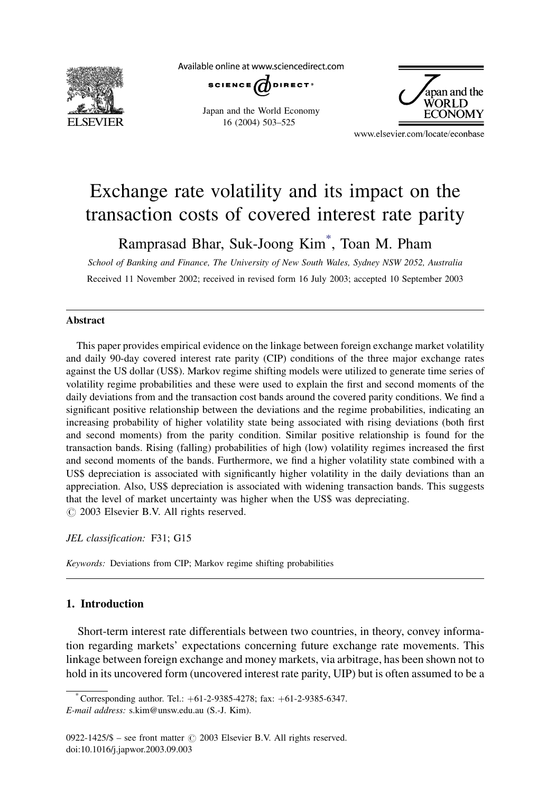

Available online at www.sciencedirect.com

SCIENCE  $\overrightarrow{a}$ DIRECT<sup>®</sup>

Japan and the World Economy 16 (2004) 503–525



www.elsevier.com/locate/econbase

## Exchange rate volatility and its impact on the transaction costs of covered interest rate parity

Ramprasad Bhar, Suk-Joong Kim\* , Toan M. Pham

School of Banking and Finance, The University of New South Wales, Sydney NSW 2052, Australia Received 11 November 2002; received in revised form 16 July 2003; accepted 10 September 2003

## Abstract

This paper provides empirical evidence on the linkage between foreign exchange market volatility and daily 90-day covered interest rate parity (CIP) conditions of the three major exchange rates against the US dollar (US\$). Markov regime shifting models were utilized to generate time series of volatility regime probabilities and these were used to explain the first and second moments of the daily deviations from and the transaction cost bands around the covered parity conditions. We find a significant positive relationship between the deviations and the regime probabilities, indicating an increasing probability of higher volatility state being associated with rising deviations (both first and second moments) from the parity condition. Similar positive relationship is found for the transaction bands. Rising (falling) probabilities of high (low) volatility regimes increased the first and second moments of the bands. Furthermore, we find a higher volatility state combined with a US\$ depreciation is associated with significantly higher volatility in the daily deviations than an appreciation. Also, US\$ depreciation is associated with widening transaction bands. This suggests that the level of market uncertainty was higher when the US\$ was depreciating.  $\odot$  2003 Elsevier B.V. All rights reserved.

JEL classification: F31; G15

Keywords: Deviations from CIP; Markov regime shifting probabilities

## 1. Introduction

Short-term interest rate differentials between two countries, in theory, convey information regarding markets' expectations concerning future exchange rate movements. This linkage between foreign exchange and money markets, via arbitrage, has been shown not to hold in its uncovered form (uncovered interest rate parity, UIP) but is often assumed to be a

Corresponding author. Tel.: +61-2-9385-4278; fax: +61-2-9385-6347. E-mail address: s.kim@unsw.edu.au (S.-J. Kim).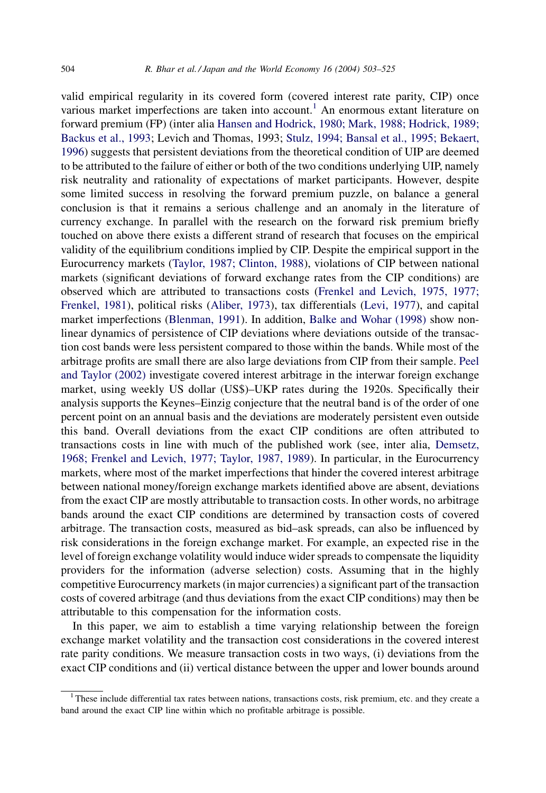valid empirical regularity in its covered form (covered interest rate parity, CIP) once various market imperfections are taken into account.<sup>1</sup> An enormous extant literature on forward premium (FP) (inter alia [Hansen and Hodrick, 1980; Mark, 1988; Hodrick, 1989;](#page--1-0) [Backus et al., 1993](#page--1-0); Levich and Thomas, 1993; [Stulz, 1994; Bansal et al., 1995; Bekaert,](#page--1-0) [1996](#page--1-0)) suggests that persistent deviations from the theoretical condition of UIP are deemed to be attributed to the failure of either or both of the two conditions underlying UIP, namely risk neutrality and rationality of expectations of market participants. However, despite some limited success in resolving the forward premium puzzle, on balance a general conclusion is that it remains a serious challenge and an anomaly in the literature of currency exchange. In parallel with the research on the forward risk premium briefly touched on above there exists a different strand of research that focuses on the empirical validity of the equilibrium conditions implied by CIP. Despite the empirical support in the Eurocurrency markets ([Taylor, 1987; Clinton, 1988\)](#page--1-0), violations of CIP between national markets (significant deviations of forward exchange rates from the CIP conditions) are observed which are attributed to transactions costs [\(Frenkel and Levich, 1975, 1977;](#page--1-0) [Frenkel, 1981\)](#page--1-0), political risks ([Aliber, 1973\)](#page--1-0), tax differentials [\(Levi, 1977\)](#page--1-0), and capital market imperfections ([Blenman, 1991\)](#page--1-0). In addition, [Balke and Wohar \(1998\)](#page--1-0) show nonlinear dynamics of persistence of CIP deviations where deviations outside of the transaction cost bands were less persistent compared to those within the bands. While most of the arbitrage profits are small there are also large deviations from CIP from their sample. [Peel](#page--1-0) [and Taylor \(2002\)](#page--1-0) investigate covered interest arbitrage in the interwar foreign exchange market, using weekly US dollar (US\$)–UKP rates during the 1920s. Specifically their analysis supports the Keynes–Einzig conjecture that the neutral band is of the order of one percent point on an annual basis and the deviations are moderately persistent even outside this band. Overall deviations from the exact CIP conditions are often attributed to transactions costs in line with much of the published work (see, inter alia, [Demsetz,](#page--1-0) [1968; Frenkel and Levich, 1977; Taylor, 1987, 1989\)](#page--1-0). In particular, in the Eurocurrency markets, where most of the market imperfections that hinder the covered interest arbitrage between national money/foreign exchange markets identified above are absent, deviations from the exact CIP are mostly attributable to transaction costs. In other words, no arbitrage bands around the exact CIP conditions are determined by transaction costs of covered arbitrage. The transaction costs, measured as bid–ask spreads, can also be influenced by risk considerations in the foreign exchange market. For example, an expected rise in the level of foreign exchange volatility would induce wider spreads to compensate the liquidity providers for the information (adverse selection) costs. Assuming that in the highly competitive Eurocurrency markets (in major currencies) a significant part of the transaction costs of covered arbitrage (and thus deviations from the exact CIP conditions) may then be attributable to this compensation for the information costs.

In this paper, we aim to establish a time varying relationship between the foreign exchange market volatility and the transaction cost considerations in the covered interest rate parity conditions. We measure transaction costs in two ways, (i) deviations from the exact CIP conditions and (ii) vertical distance between the upper and lower bounds around

<sup>&</sup>lt;sup>1</sup> These include differential tax rates between nations, transactions costs, risk premium, etc. and they create a band around the exact CIP line within which no profitable arbitrage is possible.